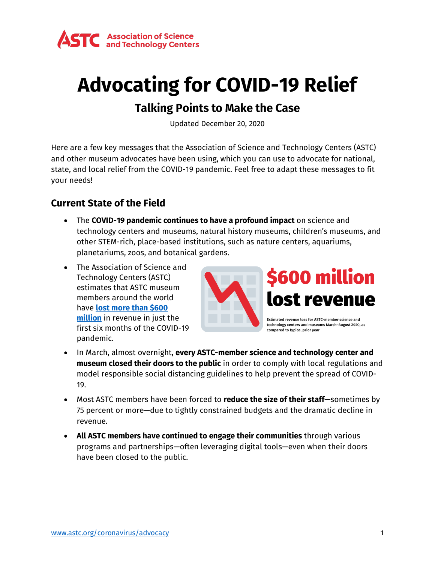

# **Advocating for COVID-19 Relief**

# **Talking Points to Make the Case**

Updated December 20, 2020

Here are a few key messages that the Association of Science and Technology Centers (ASTC) and other museum advocates have been using, which you can use to advocate for national, state, and local relief from the COVID-19 pandemic. Feel free to adapt these messages to fit your needs!

## **Current State of the Field**

- The **COVID-19 pandemic continues to have a profound impact** on science and technology centers and museums, natural history museums, children's museums, and other STEM-rich, place-based institutions, such as nature centers, aquariums, planetariums, zoos, and botanical gardens.
- The Association of Science and Technology Centers (ASTC) estimates that ASTC museum members around the world have **[lost more than \\$600](https://www.astc.org/astc-news-announcements/science-centers-have-lost-more-than-600-million-in-revenue-due-to-the-pandemic/)  [million](https://www.astc.org/astc-news-announcements/science-centers-have-lost-more-than-600-million-in-revenue-due-to-the-pandemic/)** in revenue in just the first six months of the COVID-19 pandemic.



technology centers and museums March-August 2020, as compared to typical prior year

- In March, almost overnight, **every ASTC-member science and technology center and museum closed their doors to the public** in order to comply with local regulations and model responsible social distancing guidelines to help prevent the spread of COVID-19.
- Most ASTC members have been forced to **reduce the size of their staff**—sometimes by 75 percent or more—due to tightly constrained budgets and the dramatic decline in revenue.
- **All ASTC members have continued to engage their communities** through various programs and partnerships—often leveraging digital tools—even when their doors have been closed to the public.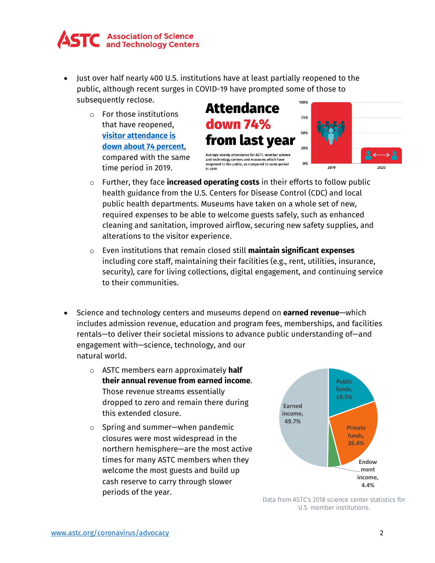

- Just over half nearly 400 U.S. institutions have at least partially reopened to the public, although recent surges in COVID-19 have prompted some of those to subsequently reclose. 100%
	- o For those institutions that have reopened, **[visitor attendance is](https://www.astc.org/astc-news-announcements/science-center-visits-down-almost-75-from-2019-but-slowly-increase-after-reopening/)  down [about 74](https://www.astc.org/astc-news-announcements/science-center-visits-down-almost-75-from-2019-but-slowly-increase-after-reopening/) percent**, compared with the same time period in 2019.



- o Further, they face **increased operating costs** in their efforts to follow public health guidance from the U.S. Centers for Disease Control (CDC) and local public health departments. Museums have taken on a whole set of new, required expenses to be able to welcome guests safely, such as enhanced cleaning and sanitation, improved airflow, securing new safety supplies, and alterations to the visitor experience.
- o Even institutions that remain closed still **maintain significant expenses** including core staff, maintaining their facilities (e.g., rent, utilities, insurance, security), care for living collections, digital engagement, and continuing service to their communities.
- Science and technology centers and museums depend on **earned revenue**—which includes admission revenue, education and program fees, memberships, and facilities rentals—to deliver their societal missions to advance public understanding of—and engagement with—science, technology, and our natural world.
	- o ASTC members earn approximately **half their annual revenue from earned income**. Those revenue streams essentially dropped to zero and remain there during this extended closure.
	- o Spring and summer—when pandemic closures were most widespread in the northern hemisphere—are the most active times for many ASTC members when they welcome the most guests and build up cash reserve to carry through slower periods of the year.



Data from ASTC's 2018 science center statistics for U.S. member institutions.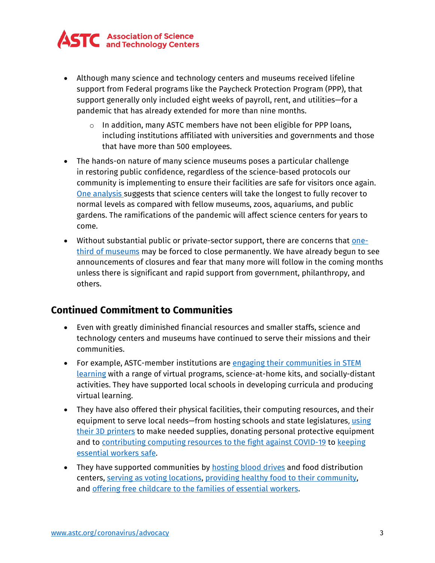

- Although many science and technology centers and museums received lifeline support from Federal programs like the Paycheck Protection Program (PPP), that support generally only included eight weeks of payroll, rent, and utilities—for a pandemic that has already extended for more than nine months.
	- o In addition, many ASTC members have not been eligible for PPP loans, including institutions affiliated with universities and governments and those that have more than 500 employees.
- The hands-on nature of many science museums poses a particular challenge in restoring public confidence, regardless of the science-based protocols our community is implementing to ensure their facilities are safe for visitors once again. [One analysis s](https://www.colleendilen.com/2020/04/22/data-update-which-cultural-entities-will-people-return-to-after-reopening-april-22-2020/)uggests that science centers will take the longest to fully recover to normal levels as compared with fellow museums, zoos, aquariums, and public gardens. The ramifications of the pandemic will affect science centers for years to come.
- Without substantial public or private-sector support, there are concerns that <u>one-</u> [third of museums](https://www.aam-us.org/2020/11/17/national-snapshot-of-covid-19/) may be forced to close permanently. We have already begun to see announcements of closures and fear that many more will follow in the coming months unless there is significant and rapid support from government, philanthropy, and others.

## **Continued Commitment to Communities**

- Even with greatly diminished financial resources and smaller staffs, science and technology centers and museums have continued to serve their missions and their communities.
- For example, ASTC-member institutions are engaging their [communities](https://www.astc.org/coronavirus/educationalresources/) in STEM [learning](https://www.astc.org/coronavirus/educationalresources/) with a range of virtual programs, science-at-home kits, and socially-distant activities. They have supported local schools in developing curricula and producing virtual learning.
- They have also offered their physical facilities, their computing resources, and their equipment to serve local needs—from hosting schools and state legislatures, [using](https://www.astc.org/resources-and-learning/how-museums-are-helping-keep-essential-workers-safe/)  [their 3D printers](https://www.astc.org/resources-and-learning/how-museums-are-helping-keep-essential-workers-safe/) to make needed supplies, donating personal protective equipment and to contributing computing resources to the [fight against COVID-19](https://www.frostscience.org/frost-science-boinc/) to [keeping](https://www.astc.org/resources-and-learning/how-museums-are-helping-keep-essential-workers-safe/) [essential](https://www.astc.org/resources-and-learning/how-museums-are-helping-keep-essential-workers-safe/) workers safe.
- They have supported communities by [hosting](https://twitter.com/FieldMuseum/status/1260314744000598016) blood drives and food distribution centers, [serving as voting locations,](https://www.frostscience.org/earlyvoting/) providing healthy food to their [community,](https://www.astc.org/astc-dimensions/combating-food-insecurity-astc-members-share-fresh-food-with-communities/) and offering [free childcare to](https://www.astc.org/science-and-technology-center-and-museum-stories/science-centers-step-up-to-provide-childcare-for-essential-workers/) the families of essential workers.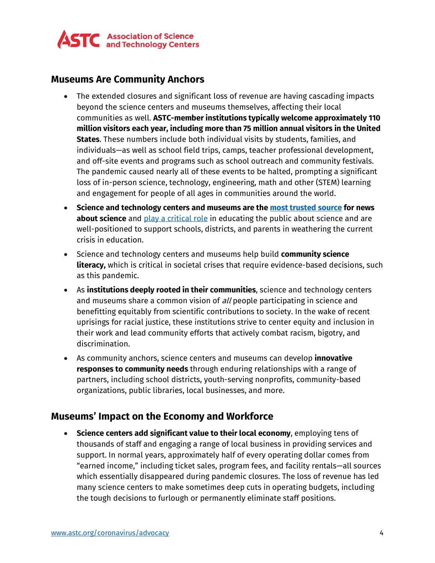

#### **Museums Are Community Anchors**

- The extended closures and significant loss of revenue are having cascading impacts beyond the science centers and museums themselves, affecting their local communities as well. **ASTC-member institutions typically welcome approximately 110 million visitors each year, including more than 75 million annual visitors in the United States**. These numbers include both individual visits by students, families, and individuals—as well as school field trips, camps, teacher professional development, and off-site events and programs such as school outreach and community festivals. The pandemic caused nearly all of these events to be halted, prompting a significant loss of in-person science, technology, engineering, math and other (STEM) learning and engagement for people of all ages in communities around the world.
- **Science and technology centers and museums are the [most trusted source](https://www.journalism.org/2017/09/20/science-news-and-information-today/) for news about science** and [play a critical role](https://www.tandfonline.com/doi/full/10.1080/21548455.2020.1719291) in educating the public about science and are well-positioned to support schools, districts, and parents in weathering the current crisis in education.
- Science and technology centers and museums help build **community science literacy,** which is critical in societal crises that require evidence-based decisions, such as this pandemic.
- As **institutions deeply rooted in their communities**, science and technology centers and museums share a common vision of all people participating in science and benefitting equitably from scientific contributions to society. In the wake of recent uprisings for racial justice, these institutions strive to center equity and inclusion in their work and lead community efforts that actively combat racism, bigotry, and discrimination.
- As community anchors, science centers and museums can develop **innovative responses to community needs** through enduring relationships with a range of partners, including school districts, youth-serving nonprofits, community-based organizations, public libraries, local businesses, and more.

## **Museums' Impact on the Economy and Workforce**

• **Science centers add significant value to their local economy**, employing tens of thousands of staff and engaging a range of local business in providing services and support. In normal years, approximately half of every operating dollar comes from "earned income," including ticket sales, program fees, and facility rentals—all sources which essentially disappeared during pandemic closures. The loss of revenue has led many science centers to make sometimes deep cuts in operating budgets, including the tough decisions to furlough or permanently eliminate staff positions.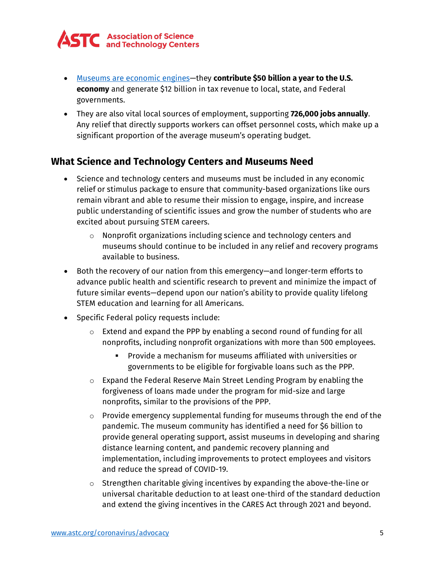

- Museums are [economic engines—](https://www.aam-us.org/2018/01/19/museums-as-economic-engines/)they **contribute [\\$50 billion a year to the U.S.](https://www.aam-us.org/2018/01/19/museums-as-economic-engines/)  [economy](https://www.aam-us.org/2018/01/19/museums-as-economic-engines/)** and generate \$12 billion in tax revenue to local, state, and Federal governments.
- They are also vital local sources of employment, supporting **[726,000 jobs annually](https://www.aam-us.org/2018/01/19/museums-as-economic-engines/)**. Any relief that directly supports workers can offset personnel costs, which make up a significant proportion of the average museum's operating budget.

#### **What Science and Technology Centers and Museums Need**

- Science and technology centers and museums must be included in any economic relief or stimulus package to ensure that community-based organizations like ours remain vibrant and able to resume their mission to engage, inspire, and increase public understanding of scientific issues and grow the number of students who are excited about pursuing STEM careers.
	- o Nonprofit organizations including science and technology centers and museums should continue to be included in any relief and recovery programs available to business.
- Both the recovery of our nation from this emergency—and longer-term efforts to advance public health and scientific research to prevent and minimize the impact of future similar events—depend upon our nation's ability to provide quality lifelong STEM education and learning for all Americans.
- Specific Federal policy requests include:
	- o Extend and expand the PPP by enabling a second round of funding for all nonprofits, including nonprofit organizations with more than 500 employees.
		- Provide a mechanism for museums affiliated with universities or governments to be eligible for forgivable loans such as the PPP.
	- $\circ$  Expand the Federal Reserve Main Street Lending Program by enabling the forgiveness of loans made under the program for mid-size and large nonprofits, similar to the provisions of the PPP.
	- $\circ$  Provide emergency supplemental funding for museums through the end of the pandemic. The museum community has identified a need for \$6 billion to provide general operating support, assist museums in developing and sharing distance learning content, and pandemic recovery planning and implementation, including improvements to protect employees and visitors and reduce the spread of COVID-19.
	- $\circ$  Strengthen charitable giving incentives by expanding the above-the-line or universal charitable deduction to at least one-third of the standard deduction and extend the giving incentives in the CARES Act through 2021 and beyond.